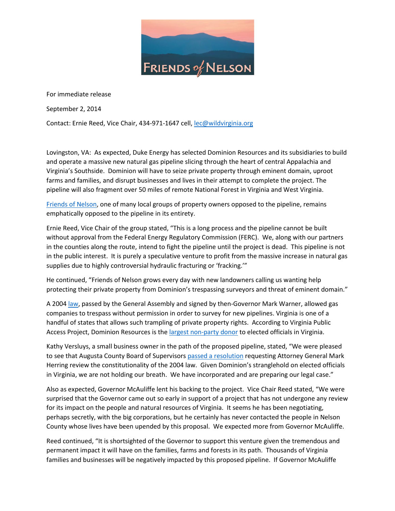

For immediate release

September 2, 2014

Contact: Ernie Reed, Vice Chair, 434-971-1647 cell, [lec@wildvirginia.org](mailto:lec@wildvirginia.org)

Lovingston, VA: As expected, Duke Energy has selected Dominion Resources and its subsidiaries to build and operate a massive new natural gas pipeline slicing through the heart of central Appalachia and Virginia's Southside. Dominion will have to seize private property through eminent domain, uproot farms and families, and disrupt businesses and lives in their attempt to complete the project. The pipeline will also fragment over 50 miles of remote National Forest in Virginia and West Virginia.

[Friends of Nelson,](http://www.friendsofnelson.com/) one of many local groups of property owners opposed to the pipeline, remains emphatically opposed to the pipeline in its entirety.

Ernie Reed, Vice Chair of the group stated, "This is a long process and the pipeline cannot be built without approval from the Federal Energy Regulatory Commission (FERC). We, along with our partners in the counties along the route, intend to fight the pipeline until the project is dead. This pipeline is not in the public interest. It is purely a speculative venture to profit from the massive increase in natural gas supplies due to highly controversial hydraulic fracturing or 'fracking.'"

He continued, "Friends of Nelson grows every day with new landowners calling us wanting help protecting their private property from Dominion's trespassing surveyors and threat of eminent domain."

A 200[4 law,](http://friendsofnelson.com/wp-content/uploads/2014/06/Wagner-Bill-on-Gas-Co.-Access-for-Surveys.pdf) passed by the General Assembly and signed by then-Governor Mark Warner, allowed gas companies to trespass without permission in order to survey for new pipelines. Virginia is one of a handful of states that allows such trampling of private property rights. According to Virginia Public Access Project, Dominion Resources is the [largest non-party donor](http://www.vpap.org/donors/top) to elected officials in Virginia.

Kathy Versluys, a small business owner in the path of the proposed pipeline, stated, "We were pleased to see that Augusta County Board of Supervisors [passed a resolution](http://www.newsleader.com/story/news/local/2014/08/27/board-wants-ags-opinion-property-access/14716043/) requesting Attorney General Mark Herring review the constitutionality of the 2004 law. Given Dominion's stranglehold on elected officials in Virginia, we are not holding our breath. We have incorporated and are preparing our legal case."

Also as expected, Governor McAuliffe lent his backing to the project. Vice Chair Reed stated, "We were surprised that the Governor came out so early in support of a project that has not undergone any review for its impact on the people and natural resources of Virginia. It seems he has been negotiating, perhaps secretly, with the big corporations, but he certainly has never contacted the people in Nelson County whose lives have been upended by this proposal. We expected more from Governor McAuliffe.

Reed continued, "It is shortsighted of the Governor to support this venture given the tremendous and permanent impact it will have on the families, farms and forests in its path. Thousands of Virginia families and businesses will be negatively impacted by this proposed pipeline. If Governor McAuliffe